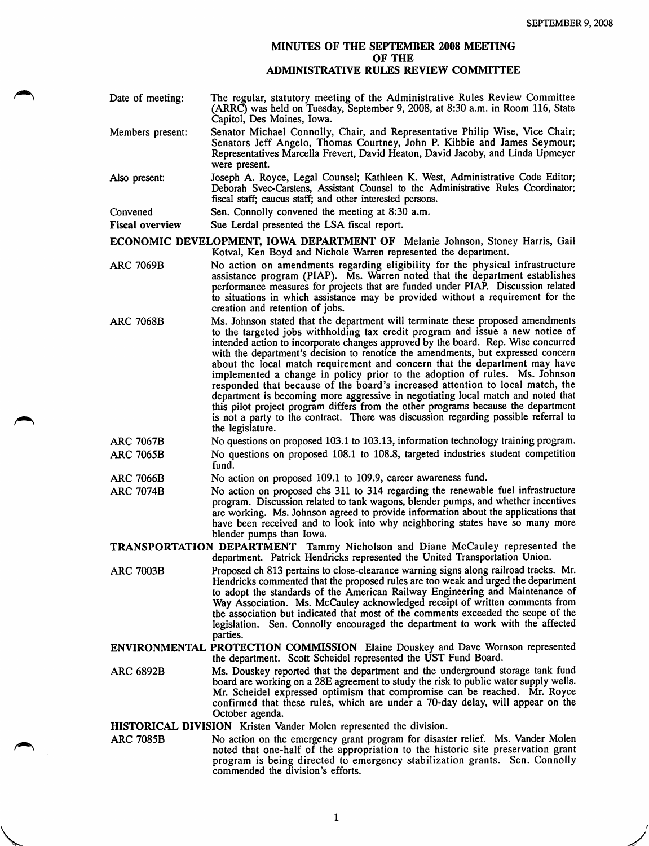## MINUTES OF THE SEPTEMBER 2008 MEETING OF THE ADMINISTRATIVE RULES REVIEW COMMITTEE

| Date of meeting:       | The regular, statutory meeting of the Administrative Rules Review Committee<br>(ARRC) was held on Tuesday, September 9, 2008, at 8:30 a.m. in Room 116, State<br>Capitol, Des Moines, Iowa.                                                                  |
|------------------------|--------------------------------------------------------------------------------------------------------------------------------------------------------------------------------------------------------------------------------------------------------------|
| Members present:       | Senator Michael Connolly, Chair, and Representative Philip Wise, Vice Chair;<br>Senators Jeff Angelo, Thomas Courtney, John P. Kibbie and James Seymour;<br>Representatives Marcella Frevert, David Heaton, David Jacoby, and Linda Upmeyer<br>were present. |
| Also present:          | Joseph A. Royce, Legal Counsel; Kathleen K. West, Administrative Code Editor;<br>Deborah Svec-Carstens, Assistant Counsel to the Administrative Rules Coordinator;<br>fiscal staff; caucus staff; and other interested persons.                              |
| Convened               | Sen. Connolly convened the meeting at 8:30 a.m.                                                                                                                                                                                                              |
| <b>Figgs</b> organized | $S_{\text{H0}}$ Lardal presented the LSA fiscal report                                                                                                                                                                                                       |

Fiscal overview Sue Lerdal presented the LSA fiscal report.

ECONOMIC DEVELOPMENT, IOWA DEPARTMENT OF Melanie Johnson, Stoney Harris, Gail Kotval, Ken Boyd and Nichole Warren represented the department.

- ARC 7069B No action on amendments regarding eligibility for the physical infrastructure assistance program (PIAP). Ms. Warren noted that the department establishes performance measures for projects that are funded under PIAP. Discussion related to situations in which assistance may be provided without a requirement for the creation and retention of jobs.
- ARC 7068B Ms. Johnson stated that the department will terminate these proposed amendments to the targeted jobs withholding tax credit program and issue a new notice of intended action to incorporate changes approved by the board. Rep. Wise concurred with the department's decision to renotice the amendments, but expressed concern about the local match requirement and concern that the department may have implemented a change in policy prior to the adoption of rules. Ms. Johnson responded that because of the board's increased attention to local match, the department is becoming more aggressive in negotiating local match and noted that this pilot project program differs from the other programs because the department is not a party to the contract. There was discussion regarding possible referral to the legislature.

ARC 7067B No questions on proposed 103.1 to 103.13, information technology training program. ARC 7065B No questions on proposed 108.1 to 108.8, targeted industries student competition

fund.

ARC 7066B No action on proposed 109.1 to 109.9, career awareness fund.

ARC 7074B No action on proposed chs 311 to 314 regarding the renewable fuel infrastructure program. Discussion related to tank wagons, blender pumps, and whether incentives are working. Ms. Johnson agreed to provide information about the applications that have been received and to look into why neighboring states have so many more blender pumps than Iowa.

TRANSPORTATION DEPARTMENT Tammy Nicholson and Diane McCauley represented the department. Patrick Hendricks represented the United Transportation Union.

ARC 7003B Proposed ch 813 pertains to close-clearance warning signs along railroad tracks. Mr. Hendricks commented that the proposed rules are too weak and urged the department to adopt the standards of the American Railway Engineering and Maintenance of Way Association. Ms. McCauley acknowledged receipt of written comments from the association but indicated that most of the comments exceeded the scope of the legislation. Sen. Connolly encouraged the department to work with the affected parties.

ENVIRONMENTAL PROTECTION COMMISSION Elaine Douskey and Dave Wornson represented the department. Scott Scheidel represented the UST Fund Board.

ARC 6892B Ms. Douskey reported that the department and the underground storage tank fund board are working on a 28E agreement to study the risk to public water supply wells. Mr. Scheidel expressed optimism that compromise can be reached. Mr. Royce confirmed that these rules, which are under a 70-day delay, will appear on the October agenda.

HISTORICAL DIVISION Kristen Vander Molen represented the division.

ARC 7085B No action on the emergency grant program for disaster relief. Ms. Vander Molen noted that one-half of the appropriation to the historic site preservation grant program is being directed to emergency stabilization grants. Sen. Connolly commended the division's efforts.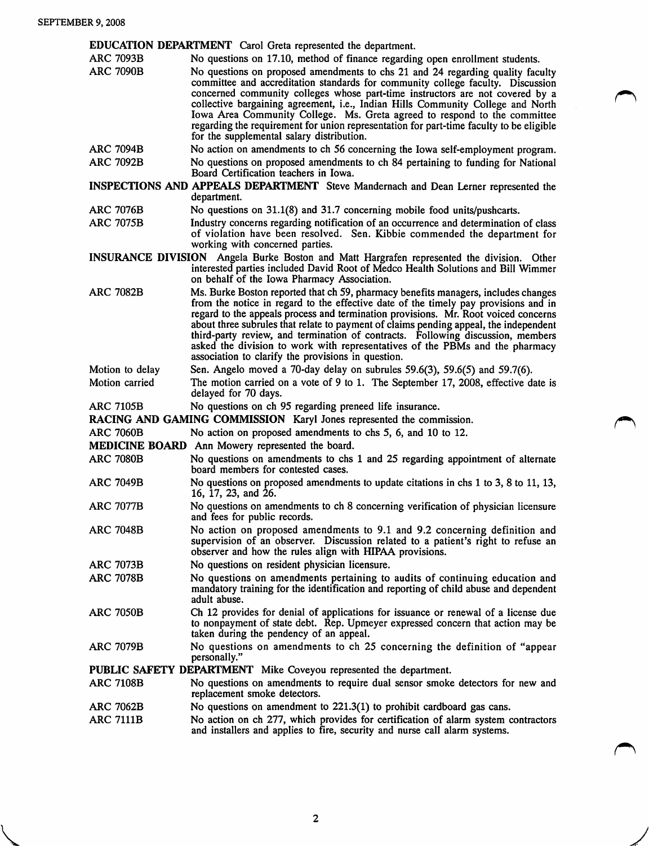EDUCATION DEPARTMENT Carol Greta represented the department.

| <b>ARC 7093B</b>                                                     | No questions on 17.10, method of finance regarding open enrollment students.                                                                                                                                                                                                                                                                                                                                                                                                                                                                                                      |  |
|----------------------------------------------------------------------|-----------------------------------------------------------------------------------------------------------------------------------------------------------------------------------------------------------------------------------------------------------------------------------------------------------------------------------------------------------------------------------------------------------------------------------------------------------------------------------------------------------------------------------------------------------------------------------|--|
| <b>ARC 7090B</b>                                                     | No questions on proposed amendments to chs 21 and 24 regarding quality faculty<br>committee and accreditation standards for community college faculty. Discussion<br>concerned community colleges whose part-time instructors are not covered by a<br>collective bargaining agreement, i.e., Indian Hills Community College and North<br>Iowa Area Community College. Ms. Greta agreed to respond to the committee<br>regarding the requirement for union representation for part-time faculty to be eligible<br>for the supplemental salary distribution.                        |  |
| <b>ARC 7094B</b>                                                     | No action on amendments to ch 56 concerning the Iowa self-employment program.                                                                                                                                                                                                                                                                                                                                                                                                                                                                                                     |  |
| <b>ARC 7092B</b>                                                     | No questions on proposed amendments to ch 84 pertaining to funding for National<br>Board Certification teachers in Iowa.                                                                                                                                                                                                                                                                                                                                                                                                                                                          |  |
|                                                                      | INSPECTIONS AND APPEALS DEPARTMENT Steve Mandernach and Dean Lerner represented the<br>department.                                                                                                                                                                                                                                                                                                                                                                                                                                                                                |  |
| <b>ARC 7076B</b>                                                     | No questions on 31.1(8) and 31.7 concerning mobile food units/pushcarts.                                                                                                                                                                                                                                                                                                                                                                                                                                                                                                          |  |
| <b>ARC 7075B</b>                                                     | Industry concerns regarding notification of an occurrence and determination of class<br>of violation have been resolved. Sen. Kibbie commended the department for<br>working with concerned parties.                                                                                                                                                                                                                                                                                                                                                                              |  |
|                                                                      | INSURANCE DIVISION Angela Burke Boston and Matt Hargrafen represented the division. Other<br>interested parties included David Root of Medco Health Solutions and Bill Wimmer<br>on behalf of the Iowa Pharmacy Association.                                                                                                                                                                                                                                                                                                                                                      |  |
| <b>ARC 7082B</b>                                                     | Ms. Burke Boston reported that ch 59, pharmacy benefits managers, includes changes<br>from the notice in regard to the effective date of the timely pay provisions and in<br>regard to the appeals process and termination provisions. Mr. Root voiced concerns<br>about three subrules that relate to payment of claims pending appeal, the independent<br>third-party review, and termination of contracts. Following discussion, members<br>asked the division to work with representatives of the PBMs and the pharmacy<br>association to clarify the provisions in question. |  |
| Motion to delay                                                      | Sen. Angelo moved a 70-day delay on subrules 59.6(3), 59.6(5) and 59.7(6).                                                                                                                                                                                                                                                                                                                                                                                                                                                                                                        |  |
| Motion carried                                                       | The motion carried on a vote of 9 to 1. The September 17, 2008, effective date is<br>delayed for 70 days.                                                                                                                                                                                                                                                                                                                                                                                                                                                                         |  |
| <b>ARC 7105B</b>                                                     | No questions on ch 95 regarding preneed life insurance.                                                                                                                                                                                                                                                                                                                                                                                                                                                                                                                           |  |
| RACING AND GAMING COMMISSION Karyl Jones represented the commission. |                                                                                                                                                                                                                                                                                                                                                                                                                                                                                                                                                                                   |  |
| <b>ARC 7060B</b>                                                     | No action on proposed amendments to chs 5, 6, and 10 to 12.                                                                                                                                                                                                                                                                                                                                                                                                                                                                                                                       |  |
|                                                                      | MEDICINE BOARD Ann Mowery represented the board.                                                                                                                                                                                                                                                                                                                                                                                                                                                                                                                                  |  |
| <b>ARC 7080B</b>                                                     | No questions on amendments to chs 1 and 25 regarding appointment of alternate<br>board members for contested cases.                                                                                                                                                                                                                                                                                                                                                                                                                                                               |  |
| <b>ARC 7049B</b>                                                     | No questions on proposed amendments to update citations in chs 1 to 3, 8 to 11, 13,<br>16, 17, 23, and 26.                                                                                                                                                                                                                                                                                                                                                                                                                                                                        |  |
| <b>ARC 7077B</b>                                                     | No questions on amendments to ch 8 concerning verification of physician licensure<br>and fees for public records.                                                                                                                                                                                                                                                                                                                                                                                                                                                                 |  |
| <b>ARC 7048B</b>                                                     | No action on proposed amendments to 9.1 and 9.2 concerning definition and<br>supervision of an observer. Discussion related to a patient's right to refuse an<br>observer and how the rules align with HIPAA provisions.                                                                                                                                                                                                                                                                                                                                                          |  |
| <b>ARC 7073B</b>                                                     | No questions on resident physician licensure.                                                                                                                                                                                                                                                                                                                                                                                                                                                                                                                                     |  |
| <b>ARC 7078B</b>                                                     | No questions on amendments pertaining to audits of continuing education and<br>mandatory training for the identification and reporting of child abuse and dependent<br>adult abuse.                                                                                                                                                                                                                                                                                                                                                                                               |  |
| <b>ARC 7050B</b>                                                     | Ch 12 provides for denial of applications for issuance or renewal of a license due<br>to nonpayment of state debt. Rep. Upmeyer expressed concern that action may be<br>taken during the pendency of an appeal.                                                                                                                                                                                                                                                                                                                                                                   |  |
| <b>ARC 7079B</b>                                                     | No questions on amendments to ch 25 concerning the definition of "appear<br>personally."                                                                                                                                                                                                                                                                                                                                                                                                                                                                                          |  |
| PUBLIC SAFETY DEPARTMENT Mike Coveyou represented the department.    |                                                                                                                                                                                                                                                                                                                                                                                                                                                                                                                                                                                   |  |
| <b>ARC 7108B</b>                                                     | No questions on amendments to require dual sensor smoke detectors for new and<br>replacement smoke detectors.                                                                                                                                                                                                                                                                                                                                                                                                                                                                     |  |
| <b>ARC 7062B</b>                                                     | No questions on amendment to $221.3(1)$ to prohibit cardboard gas cans.                                                                                                                                                                                                                                                                                                                                                                                                                                                                                                           |  |
| <b>ARC 7111B</b>                                                     | No action on ch 277, which provides for certification of alarm system contractors                                                                                                                                                                                                                                                                                                                                                                                                                                                                                                 |  |

and installers and applies to fire, security and nurse call alarm systems.